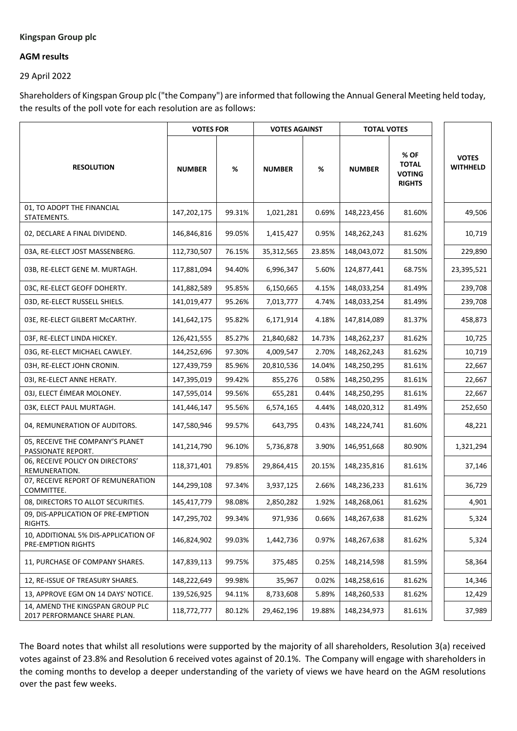## **Kingspan Group plc**

## **AGM results**

29 April 2022

Shareholders of Kingspan Group plc ("the Company") are informed that following the Annual General Meeting held today, the results of the poll vote for each resolution are as follows:

|                                                                  | <b>VOTES FOR</b> |        | <b>VOTES AGAINST</b> |        | <b>TOTAL VOTES</b> |                                                        |                                 |
|------------------------------------------------------------------|------------------|--------|----------------------|--------|--------------------|--------------------------------------------------------|---------------------------------|
| <b>RESOLUTION</b>                                                | <b>NUMBER</b>    | %      | <b>NUMBER</b>        | %      | <b>NUMBER</b>      | % OF<br><b>TOTAL</b><br><b>VOTING</b><br><b>RIGHTS</b> | <b>VOTES</b><br><b>WITHHELD</b> |
| 01, TO ADOPT THE FINANCIAL<br>STATEMENTS.                        | 147,202,175      | 99.31% | 1,021,281            | 0.69%  | 148,223,456        | 81.60%                                                 | 49,506                          |
| 02, DECLARE A FINAL DIVIDEND.                                    | 146,846,816      | 99.05% | 1,415,427            | 0.95%  | 148,262,243        | 81.62%                                                 | 10,719                          |
| 03A, RE-ELECT JOST MASSENBERG.                                   | 112,730,507      | 76.15% | 35,312,565           | 23.85% | 148,043,072        | 81.50%                                                 | 229,890                         |
| 03B, RE-ELECT GENE M. MURTAGH.                                   | 117,881,094      | 94.40% | 6,996,347            | 5.60%  | 124,877,441        | 68.75%                                                 | 23,395,521                      |
| 03C, RE-ELECT GEOFF DOHERTY.                                     | 141,882,589      | 95.85% | 6,150,665            | 4.15%  | 148,033,254        | 81.49%                                                 | 239,708                         |
| 03D, RE-ELECT RUSSELL SHIELS.                                    | 141,019,477      | 95.26% | 7,013,777            | 4.74%  | 148,033,254        | 81.49%                                                 | 239,708                         |
| 03E, RE-ELECT GILBERT McCARTHY.                                  | 141,642,175      | 95.82% | 6,171,914            | 4.18%  | 147,814,089        | 81.37%                                                 | 458,873                         |
| 03F, RE-ELECT LINDA HICKEY.                                      | 126,421,555      | 85.27% | 21,840,682           | 14.73% | 148,262,237        | 81.62%                                                 | 10,725                          |
| 03G, RE-ELECT MICHAEL CAWLEY.                                    | 144,252,696      | 97.30% | 4,009,547            | 2.70%  | 148,262,243        | 81.62%                                                 | 10,719                          |
| 03H, RE-ELECT JOHN CRONIN.                                       | 127,439,759      | 85.96% | 20,810,536           | 14.04% | 148,250,295        | 81.61%                                                 | 22,667                          |
| 03I, RE-ELECT ANNE HERATY.                                       | 147,395,019      | 99.42% | 855,276              | 0.58%  | 148,250,295        | 81.61%                                                 | 22,667                          |
| 03J, ELECT ÉIMEAR MOLONEY.                                       | 147,595,014      | 99.56% | 655,281              | 0.44%  | 148,250,295        | 81.61%                                                 | 22,667                          |
| 03K, ELECT PAUL MURTAGH.                                         | 141,446,147      | 95.56% | 6,574,165            | 4.44%  | 148,020,312        | 81.49%                                                 | 252,650                         |
| 04, REMUNERATION OF AUDITORS.                                    | 147,580,946      | 99.57% | 643,795              | 0.43%  | 148,224,741        | 81.60%                                                 | 48,221                          |
| 05, RECEIVE THE COMPANY'S PLANET<br>PASSIONATE REPORT.           | 141,214,790      | 96.10% | 5,736,878            | 3.90%  | 146,951,668        | 80.90%                                                 | 1,321,294                       |
| 06, RECEIVE POLICY ON DIRECTORS'<br>REMUNERATION.                | 118,371,401      | 79.85% | 29,864,415           | 20.15% | 148,235,816        | 81.61%                                                 | 37,146                          |
| 07, RECEIVE REPORT OF REMUNERATION<br>COMMITTEE.                 | 144,299,108      | 97.34% | 3,937,125            | 2.66%  | 148,236,233        | 81.61%                                                 | 36,729                          |
| 08, DIRECTORS TO ALLOT SECURITIES.                               | 145,417,779      | 98.08% | 2,850,282            | 1.92%  | 148,268,061        | 81.62%                                                 | 4,901                           |
| 09, DIS-APPLICATION OF PRE-EMPTION<br>RIGHTS.                    | 147,295,702      | 99.34% | 971,936              | 0.66%  | 148,267,638        | 81.62%                                                 | 5,324                           |
| 10, ADDITIONAL 5% DIS-APPLICATION OF<br>PRE-EMPTION RIGHTS       | 146,824,902      | 99.03% | 1,442,736            | 0.97%  | 148,267,638        | 81.62%                                                 | 5,324                           |
| 11, PURCHASE OF COMPANY SHARES.                                  | 147,839,113      | 99.75% | 375,485              | 0.25%  | 148,214,598        | 81.59%                                                 | 58,364                          |
| 12, RE-ISSUE OF TREASURY SHARES.                                 | 148,222,649      | 99.98% | 35,967               | 0.02%  | 148,258,616        | 81.62%                                                 | 14,346                          |
| 13, APPROVE EGM ON 14 DAYS' NOTICE.                              | 139,526,925      | 94.11% | 8,733,608            | 5.89%  | 148,260,533        | 81.62%                                                 | 12,429                          |
| 14, AMEND THE KINGSPAN GROUP PLC<br>2017 PERFORMANCE SHARE PLAN. | 118,772,777      | 80.12% | 29,462,196           | 19.88% | 148,234,973        | 81.61%                                                 | 37,989                          |

The Board notes that whilst all resolutions were supported by the majority of all shareholders, Resolution 3(a) received votes against of 23.8% and Resolution 6 received votes against of 20.1%. The Company will engage with shareholders in the coming months to develop a deeper understanding of the variety of views we have heard on the AGM resolutions over the past few weeks.